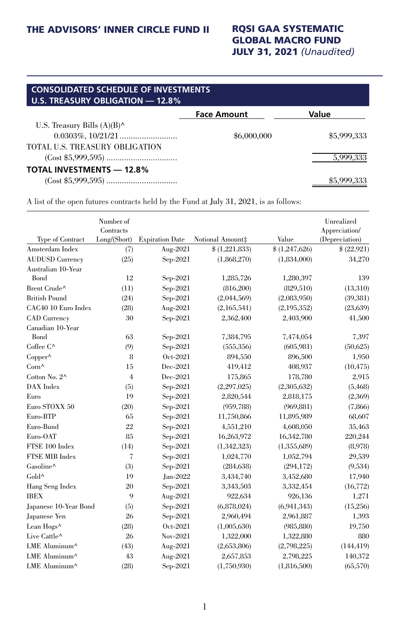## GLOBAL MACRO FUND JULY 31, 2021 *(Unaudited)*

| <b>CONSOLIDATED SCHEDULE OF INVESTMENTS</b><br>U.S. TREASURY OBLIGATION - 12.8% |                    |             |  |  |  |  |
|---------------------------------------------------------------------------------|--------------------|-------------|--|--|--|--|
|                                                                                 | <b>Face Amount</b> | Value       |  |  |  |  |
| U.S. Treasury Bills $(A)(B)^{\wedge}$                                           |                    |             |  |  |  |  |
|                                                                                 | \$6,000,000        | \$5,999,333 |  |  |  |  |
| TOTAL U.S. TREASURY OBLIGATION                                                  |                    |             |  |  |  |  |
|                                                                                 |                    | 5,999,333   |  |  |  |  |
| <b>TOTAL INVESTMENTS - 12.8%</b>                                                |                    |             |  |  |  |  |
|                                                                                 |                    |             |  |  |  |  |

A list of the open futures contracts held by the Fund at July 31, 2021, is as follows:

|                                              | Number of<br>Contracts<br>Long/(Short) |                        |                  | Value         | Unrealized<br>Appreciation/ |
|----------------------------------------------|----------------------------------------|------------------------|------------------|---------------|-----------------------------|
| Type of Contract<br>Amsterdam Index          |                                        | <b>Expiration Date</b> | Notional Amount‡ | \$(1,247,626) | (Depreciation)              |
|                                              | (7)<br>(25)                            | Aug-2021               | \$(1,221,833)    |               | \$(22,921)                  |
| <b>AUDUSD Currency</b><br>Australian 10-Year |                                        | $Sep-2021$             | (1,868,270)      | (1,834,000)   | 34,270                      |
| Bond                                         | 12                                     | $Sep-2021$             | 1,285,726        | 1,280,397     | 139                         |
| Brent Crude^                                 | (11)                                   | $Sep-2021$             | (816, 200)       | (829, 510)    | (13,310)                    |
| <b>British Pound</b>                         | (24)                                   | $Sep-2021$             | (2,044,569)      | (2,083,950)   | (39, 381)                   |
| CAC40 10 Euro Index                          | (28)                                   | Aug-2021               | (2,165,541)      | (2,195,352)   | (23, 639)                   |
| <b>CAD</b> Currency                          | 30                                     | $Sep-2021$             | 2,362,400        | 2,403,900     | 41,500                      |
| Canadian 10-Year                             |                                        |                        |                  |               |                             |
| Bond                                         | 63                                     | $Sep-2021$             | 7,384,795        | 7,474,054     | 7,397                       |
| Coffee C^                                    | (9)                                    | $Sep-2021$             | (555, 356)       | (605, 981)    | (50,625)                    |
| Copper^                                      | 8                                      | Oct-2021               | 894,550          | 896,500       | 1,950                       |
| Corn^                                        | 15                                     | Dec-2021               | 419,412          | 408,937       | (10, 475)                   |
| Cotton No. 2^                                | $\overline{4}$                         | Dec-2021               | 175,865          | 178,780       | 2,915                       |
| DAX Index                                    | (5)                                    | Sep-2021               | (2,297,025)      | (2,305,632)   | (5, 468)                    |
| Euro                                         | 19                                     | Sep-2021               | 2,820,544        | 2,818,175     | (2,369)                     |
| Euro STOXX 50                                | (20)                                   | Sep-2021               | (959, 788)       | (969, 881)    | (7,866)                     |
| Euro-BTP                                     | 65                                     | $Sep-2021$             | 11,750,866       | 11,895,989    | 68,607                      |
| Euro-Bund                                    | 22                                     | Sep-2021               | 4,551,210        | 4,608,050     | 35,463                      |
| Euro-OAT                                     | 85                                     | Sep-2021               | 16,263,972       | 16,342,780    | 220,244                     |
| FTSE 100 Index                               | (14)                                   | $Sep-2021$             | (1,342,323)      | (1,355,689)   | (8,978)                     |
| FTSE MIB Index                               | 7                                      | $Sep-2021$             | 1,024,770        | 1,052,794     | 29,539                      |
| Gasoline^                                    | (3)                                    | $Sep-2021$             | (284, 638)       | (294, 172)    | (9,534)                     |
| Gold^                                        | 19                                     | Jan-2022               | 3,434,740        | 3,452,680     | 17,940                      |
| Hang Seng Index                              | 20                                     | $Sep-2021$             | 3,343,503        | 3,332,454     | (16, 772)                   |
| <b>IBEX</b>                                  | 9                                      | Aug-2021               | 922,634          | 926,136       | 1,271                       |
| Japanese 10-Year Bond                        | (5)                                    | $Sep-2021$             | (6,878,024)      | (6,941,343)   | (15,256)                    |
| Japanese Yen                                 | 26                                     | $Sep-2021$             | 2,960,494        | 2,961,887     | 1,393                       |
| Lean Hogs^                                   | (28)                                   | Oct-2021               | (1,005,630)      | (985, 880)    | 19,750                      |
| Live Cattle^                                 | 26                                     | Nov-2021               | 1,322,000        | 1,322,880     | 880                         |
| LME Aluminum^                                | (43)                                   | Aug-2021               | (2,653,806)      | (2,798,225)   | (144, 419)                  |
| LME Aluminum^                                | 43                                     | Aug-2021               | 2,657,853        | 2,798,225     | 140,372                     |
| LME Aluminum^                                | (28)                                   | $Sep-2021$             | (1,750,930)      | (1,816,500)   | (65, 570)                   |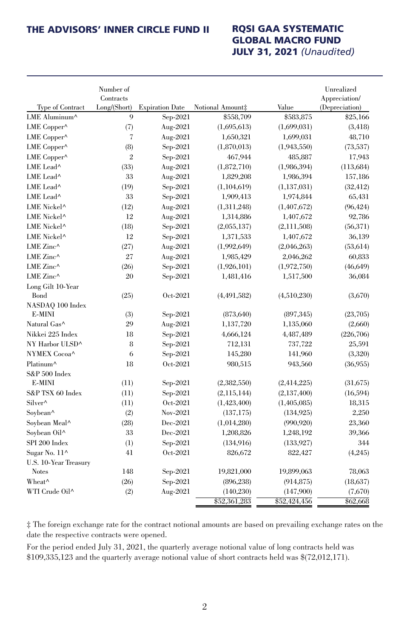## GLOBAL MACRO FUND JULY 31, 2021 *(Unaudited)*

|                           | Number of<br>Contracts |                        |                  |               | Unrealized<br>Appreciation/ |
|---------------------------|------------------------|------------------------|------------------|---------------|-----------------------------|
| <b>Type of Contract</b>   | Long/(Short)           | <b>Expiration Date</b> | Notional Amount‡ | Value         | (Depreciation)              |
| LME Aluminum <sup>^</sup> | 9                      | $Sep-2021$             | \$558,709        | \$583,875     | \$25,166                    |
| LME Copper^               | (7)                    | Aug-2021               | (1,695,613)      | (1,699,031)   | (3, 418)                    |
| LME Copper^               | 7                      | Aug-2021               | 1,650,321        | 1,699,031     | 48,710                      |
| LME Copper^               | (8)                    | $Sep-2021$             | (1,870,013)      | (1,943,550)   | (73, 537)                   |
| LME Copper^               | $\overline{2}$         | $Sep-2021$             | 467,944          | 485,887       | 17,943                      |
| LME Lead^                 | (33)                   | Aug-2021               | (1,872,710)      | (1,986,394)   | (113, 684)                  |
| LME Lead^                 | 33                     | Aug-2021               | 1,829,208        | 1,986,394     | 157,186                     |
| LME Lead^                 | (19)                   | $Sep-2021$             | (1,104,619)      | (1, 137, 031) | (32, 412)                   |
| LME Lead^                 | 33                     | $Sep-2021$             | 1,909,413        | 1,974,844     | 65,431                      |
| LME Nickel <sup>^</sup>   | (12)                   | Aug-2021               | (1,311,248)      | (1,407,672)   | (96, 424)                   |
| LME Nickel <sup>^</sup>   | 12                     | Aug-2021               | 1,314,886        | 1,407,672     | 92,786                      |
| LME Nickel <sup>^</sup>   | (18)                   | $Sep-2021$             | (2,055,137)      | (2, 111, 508) | (56, 371)                   |
| LME Nickel <sup>^</sup>   | 12                     | $Sep-2021$             | 1,371,533        | 1,407,672     | 36,139                      |
| LME Zinc^                 | (27)                   | Aug-2021               | (1,992,649)      | (2,046,263)   | (53, 614)                   |
| LME Zinc^                 | 27                     | Aug-2021               | 1,985,429        | 2,046,262     | 60,833                      |
| LME Zinc $\wedge$         | (26)                   | $Sep-2021$             | (1,926,101)      | (1,972,750)   | (46, 649)                   |
| LME Zinc^                 | 20                     | $Sep-2021$             | 1,481,416        | 1,517,500     | 36,084                      |
| Long Gilt 10-Year         |                        |                        |                  |               |                             |
| Bond                      | (25)                   | Oct-2021               | (4,491,582)      | (4,510,230)   | (3,670)                     |
| NASDAQ 100 Index          |                        |                        |                  |               |                             |
| E-MINI                    | (3)                    | $Sep-2021$             | (873, 640)       | (897, 345)    | (23,705)                    |
| Natural Gas^              | 29                     | Aug-2021               | 1,137,720        | 1,135,060     | (2,660)                     |
| Nikkei 225 Index          | 18                     | $Sep-2021$             | 4,666,124        | 4,487,489     | (226, 706)                  |
| NY Harbor ULSD^           | 8                      | $Sep-2021$             | 712,131          | 737,722       | 25,591                      |
| NYMEX Cocoa^              | 6                      | $Sep-2021$             | 145,280          | 141,960       | (3,320)                     |
| Platinum^                 | 18                     | Oct-2021               | 980,515          | 943,560       | (36,955)                    |
| $S&P500$ Index            |                        |                        |                  |               |                             |
| E-MINI                    | (11)                   | $Sep-2021$             | (2,382,550)      | (2, 414, 225) | (31,675)                    |
| S&P TSX 60 Index          | (11)                   | $Sep-2021$             | (2, 115, 144)    | (2, 137, 400) | (16, 594)                   |
| Silver^                   | (11)                   | Oct-2021               | (1,423,400)      | (1,405,085)   | 18,315                      |
| Soybean^                  | (2)                    | Nov-2021               | (137, 175)       | (134, 925)    | 2,250                       |
| Soybean Meal^             | (28)                   | Dec-2021               | (1,014,280)      | (990, 920)    | 23,360                      |
| Soybean Oil^              | 33                     | Dec-2021               | 1,208,826        | 1,248,192     | 39,366                      |
| SPI 200 Index             | (1)                    | $Sep-2021$             | (134,916)        | (133, 927)    | 344                         |
| Sugar No. 11^             | 41                     | Oct-2021               | 826,672          | 822,427       | (4,245)                     |
| U.S. 10-Year Treasury     |                        |                        |                  |               |                             |
| <b>Notes</b>              | 148                    | $Sep-2021$             | 19,821,000       | 19,899,063    | 78,063                      |
| Wheat <sup>^</sup>        | (26)                   | $Sep-2021$             | (896, 238)       | (914, 875)    | (18,637)                    |
| WTI Crude Oil^            | (2)                    | Aug-2021               | (140, 230)       | (147,900)     | (7,670)                     |
|                           |                        |                        | \$52,361,283     | \$52,424,456  | \$62,668                    |

‡ The foreign exchange rate for the contract notional amounts are based on prevailing exchange rates on the date the respective contracts were opened.

For the period ended July 31, 2021, the quarterly average notional value of long contracts held was \$109,335,123 and the quarterly average notional value of short contracts held was \$(72,012,171).